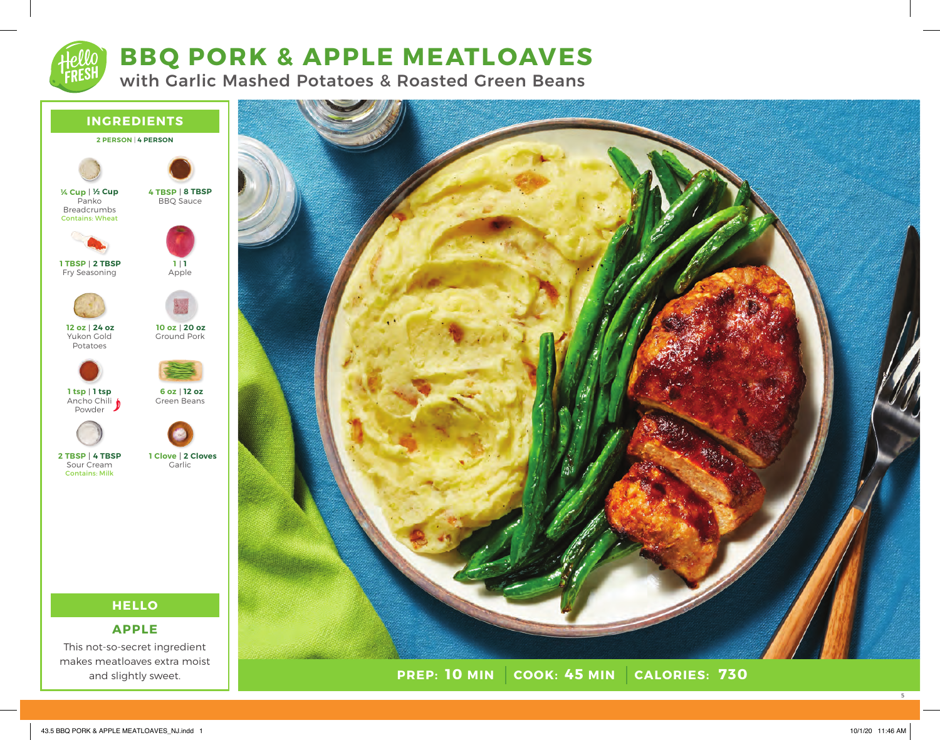# **BBQ PORK & APPLE MEATLOAVES**

with Garlic Mashed Potatoes & Roasted Green Beans



This not-so-secret ingredient makes meatloaves extra moist and slightly sweet.



5